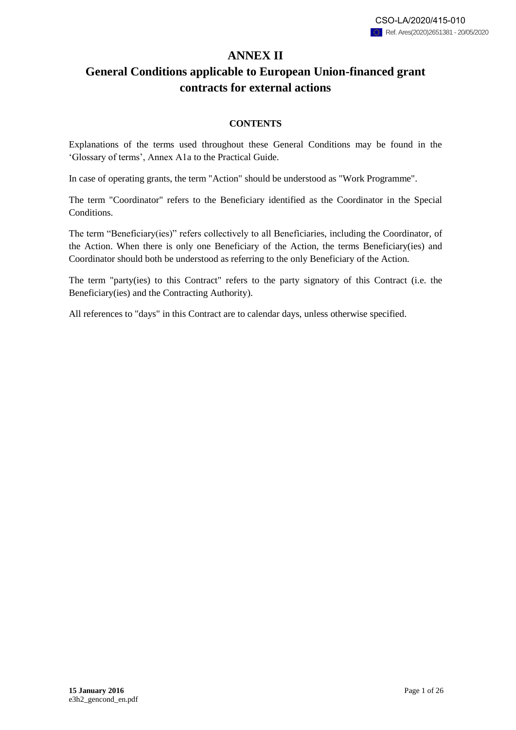## **ANNEX II**

## **General Conditions applicable to European Union-financed grant contracts for external actions**

## **CONTENTS**

Explanations of the terms used throughout these General Conditions may be found in the 'Glossary of terms', Annex A1a to the Practical Guide.

In case of operating grants, the term "Action" should be understood as "Work Programme".

The term "Coordinator" refers to the Beneficiary identified as the Coordinator in the Special Conditions.

The term "Beneficiary(ies)" refers collectively to all Beneficiaries, including the Coordinator, of the Action. When there is only one Beneficiary of the Action, the terms Beneficiary(ies) and Coordinator should both be understood as referring to the only Beneficiary of the Action.

The term "party(ies) to this Contract" refers to the party signatory of this Contract (i.e. the Beneficiary(ies) and the Contracting Authority).

All references to "days" in this Contract are to calendar days, unless otherwise specified.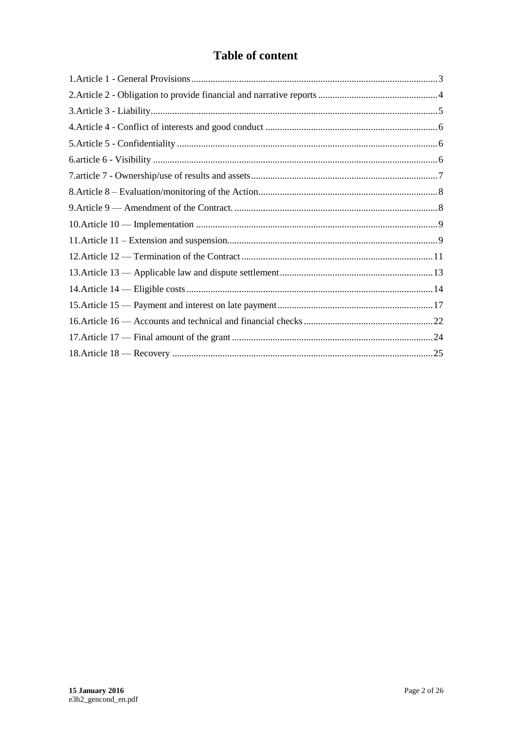# **Table of content**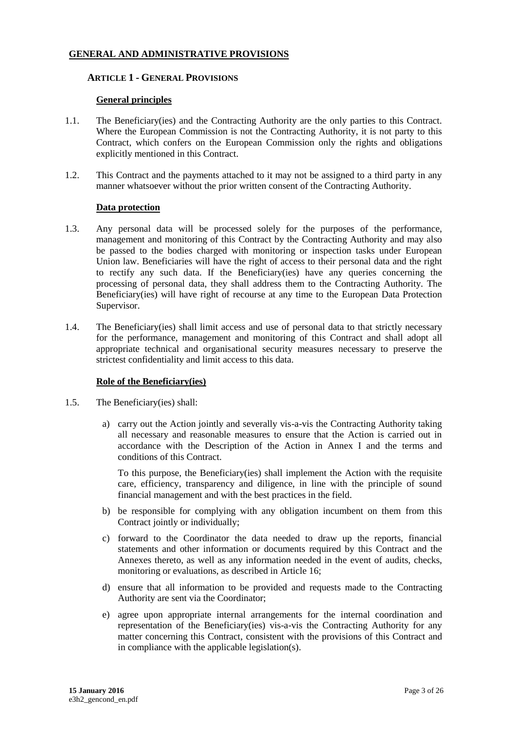## **GENERAL AND ADMINISTRATIVE PROVISIONS**

## <span id="page-2-0"></span>**1. ARTICLE 1 - GENERAL PROVISIONS**

#### **General principles**

- 1.1. The Beneficiary(ies) and the Contracting Authority are the only parties to this Contract. Where the European Commission is not the Contracting Authority, it is not party to this Contract, which confers on the European Commission only the rights and obligations explicitly mentioned in this Contract.
- 1.2. This Contract and the payments attached to it may not be assigned to a third party in any manner whatsoever without the prior written consent of the Contracting Authority.

#### **Data protection**

- 1.3. Any personal data will be processed solely for the purposes of the performance, management and monitoring of this Contract by the Contracting Authority and may also be passed to the bodies charged with monitoring or inspection tasks under European Union law. Beneficiaries will have the right of access to their personal data and the right to rectify any such data. If the Beneficiary(ies) have any queries concerning the processing of personal data, they shall address them to the Contracting Authority. The Beneficiary(ies) will have right of recourse at any time to the European Data Protection Supervisor.
- 1.4. The Beneficiary(ies) shall limit access and use of personal data to that strictly necessary for the performance, management and monitoring of this Contract and shall adopt all appropriate technical and organisational security measures necessary to preserve the strictest confidentiality and limit access to this data.

#### **Role of the Beneficiary(ies)**

- 1.5. The Beneficiary(ies) shall:
	- a) carry out the Action jointly and severally vis-a-vis the Contracting Authority taking all necessary and reasonable measures to ensure that the Action is carried out in accordance with the Description of the Action in Annex I and the terms and conditions of this Contract.

To this purpose, the Beneficiary(ies) shall implement the Action with the requisite care, efficiency, transparency and diligence, in line with the principle of sound financial management and with the best practices in the field.

- b) be responsible for complying with any obligation incumbent on them from this Contract jointly or individually;
- c) forward to the Coordinator the data needed to draw up the reports, financial statements and other information or documents required by this Contract and the Annexes thereto, as well as any information needed in the event of audits, checks, monitoring or evaluations, as described in Article 16;
- d) ensure that all information to be provided and requests made to the Contracting Authority are sent via the Coordinator;
- e) agree upon appropriate internal arrangements for the internal coordination and representation of the Beneficiary(ies) vis-a-vis the Contracting Authority for any matter concerning this Contract, consistent with the provisions of this Contract and in compliance with the applicable legislation(s).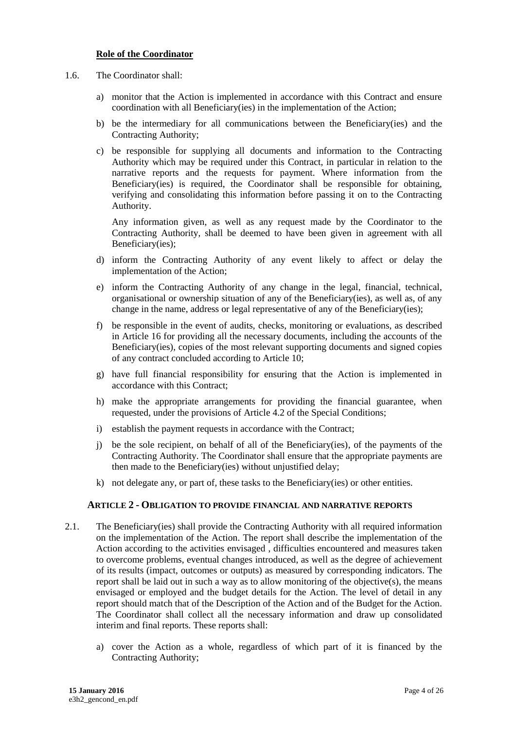#### **Role of the Coordinator**

- 1.6. The Coordinator shall:
	- a) monitor that the Action is implemented in accordance with this Contract and ensure coordination with all Beneficiary(ies) in the implementation of the Action;
	- b) be the intermediary for all communications between the Beneficiary(ies) and the Contracting Authority;
	- c) be responsible for supplying all documents and information to the Contracting Authority which may be required under this Contract, in particular in relation to the narrative reports and the requests for payment. Where information from the Beneficiary(ies) is required, the Coordinator shall be responsible for obtaining, verifying and consolidating this information before passing it on to the Contracting Authority.

Any information given, as well as any request made by the Coordinator to the Contracting Authority, shall be deemed to have been given in agreement with all Beneficiary(ies);

- d) inform the Contracting Authority of any event likely to affect or delay the implementation of the Action;
- e) inform the Contracting Authority of any change in the legal, financial, technical, organisational or ownership situation of any of the Beneficiary(ies), as well as, of any change in the name, address or legal representative of any of the Beneficiary(ies);
- f) be responsible in the event of audits, checks, monitoring or evaluations, as described in Article 16 for providing all the necessary documents, including the accounts of the Beneficiary(ies), copies of the most relevant supporting documents and signed copies of any contract concluded according to Article 10;
- g) have full financial responsibility for ensuring that the Action is implemented in accordance with this Contract;
- h) make the appropriate arrangements for providing the financial guarantee, when requested, under the provisions of Article 4.2 of the Special Conditions;
- i) establish the payment requests in accordance with the Contract;
- j) be the sole recipient, on behalf of all of the Beneficiary(ies), of the payments of the Contracting Authority. The Coordinator shall ensure that the appropriate payments are then made to the Beneficiary(ies) without unjustified delay;
- <span id="page-3-1"></span>k) not delegate any, or part of, these tasks to the Beneficiary(ies) or other entities.

#### <span id="page-3-0"></span>**2. ARTICLE 2 - OBLIGATION TO PROVIDE FINANCIAL AND NARRATIVE REPORTS**

- 2.1. The Beneficiary(ies) shall provide the Contracting Authority with all required information on the implementation of the Action. The report shall describe the implementation of the Action according to the activities envisaged , difficulties encountered and measures taken to overcome problems, eventual changes introduced, as well as the degree of achievement of its results (impact, outcomes or outputs) as measured by corresponding indicators. The report shall be laid out in such a way as to allow monitoring of the objective(s), the means envisaged or employed and the budget details for the Action. The level of detail in any report should match that of the Description of the Action and of the Budget for the Action. The Coordinator shall collect all the necessary information and draw up consolidated interim and final reports. These reports shall:
	- a) cover the Action as a whole, regardless of which part of it is financed by the Contracting Authority;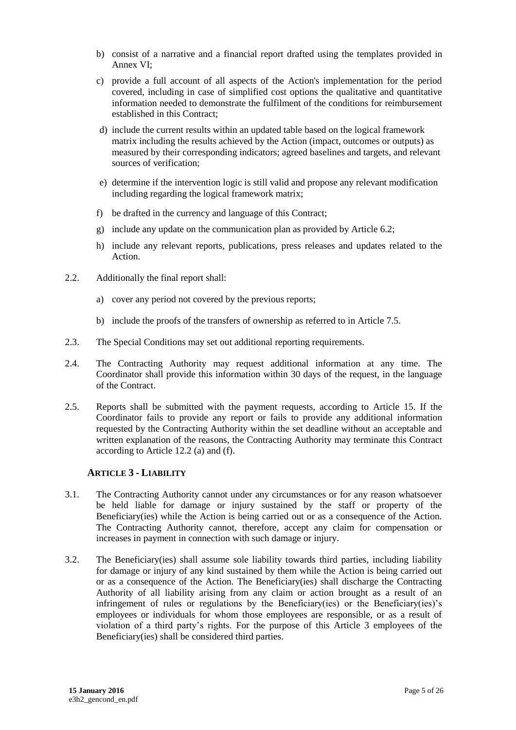- b) consist of a narrative and a financial report drafted using the templates provided in Annex VI;
- c) provide a full account of all aspects of the Action's implementation for the period covered, including in case of simplified cost options the qualitative and quantitative information needed to demonstrate the fulfilment of the conditions for reimbursement established in this Contract;
- d) include the current results within an updated table based on the logical framework matrix including the results achieved by the Action (impact, outcomes or outputs) as measured by their corresponding indicators; agreed baselines and targets, and relevant sources of verification;
- e) determine if the intervention logic is still valid and propose any relevant modification including regarding the logical framework matrix;
- f) be drafted in the currency and language of this Contract;
- g) include any update on the communication plan as provided by Article 6.2;
- h) include any relevant reports, publications, press releases and updates related to the Action.
- 2.2. Additionally the final report shall:
	- a) cover any period not covered by the previous reports;
	- b) include the proofs of the transfers of ownership as referred to in Article 7.5.
- 2.3. The Special Conditions may set out additional reporting requirements.
- 2.4. The Contracting Authority may request additional information at any time. The Coordinator shall provide this information within 30 days of the request, in the language of the Contract.
- 2.5. Reports shall be submitted with the payment requests, according to Article 15. If the Coordinator fails to provide any report or fails to provide any additional information requested by the Contracting Authority within the set deadline without an acceptable and written explanation of the reasons, the Contracting Authority may terminate this Contract according to Article 12.2 (a) and (f).

## <span id="page-4-0"></span>**3. ARTICLE 3 - LIABILITY**

- 3.1. The Contracting Authority cannot under any circumstances or for any reason whatsoever be held liable for damage or injury sustained by the staff or property of the Beneficiary(ies) while the Action is being carried out or as a consequence of the Action. The Contracting Authority cannot, therefore, accept any claim for compensation or increases in payment in connection with such damage or injury.
- 3.2. The Beneficiary(ies) shall assume sole liability towards third parties, including liability for damage or injury of any kind sustained by them while the Action is being carried out or as a consequence of the Action. The Beneficiary(ies) shall discharge the Contracting Authority of all liability arising from any claim or action brought as a result of an infringement of rules or regulations by the Beneficiary(ies) or the Beneficiary(ies)'s employees or individuals for whom those employees are responsible, or as a result of violation of a third party's rights. For the purpose of this Article 3 employees of the Beneficiary(ies) shall be considered third parties.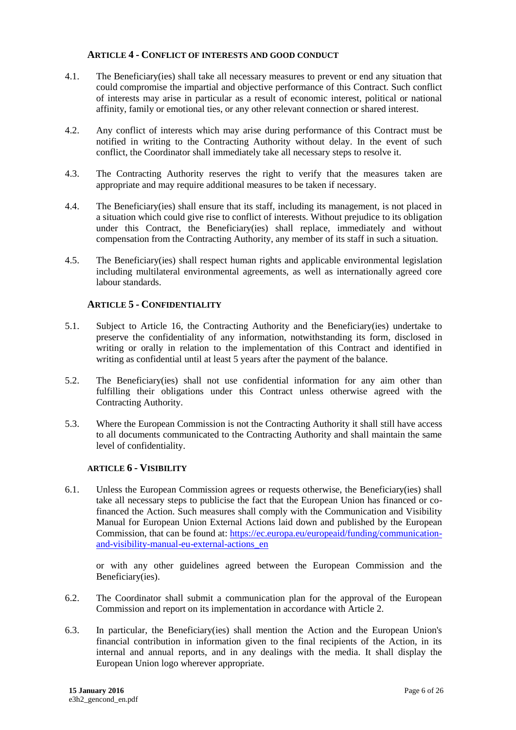#### <span id="page-5-0"></span>**4. ARTICLE 4 - CONFLICT OF INTERESTS AND GOOD CONDUCT**

- 4.1. The Beneficiary(ies) shall take all necessary measures to prevent or end any situation that could compromise the impartial and objective performance of this Contract. Such conflict of interests may arise in particular as a result of economic interest, political or national affinity, family or emotional ties, or any other relevant connection or shared interest.
- 4.2. Any conflict of interests which may arise during performance of this Contract must be notified in writing to the Contracting Authority without delay. In the event of such conflict, the Coordinator shall immediately take all necessary steps to resolve it.
- 4.3. The Contracting Authority reserves the right to verify that the measures taken are appropriate and may require additional measures to be taken if necessary.
- 4.4. The Beneficiary(ies) shall ensure that its staff, including its management, is not placed in a situation which could give rise to conflict of interests. Without prejudice to its obligation under this Contract, the Beneficiary(ies) shall replace, immediately and without compensation from the Contracting Authority, any member of its staff in such a situation.
- 4.5. The Beneficiary(ies) shall respect human rights and applicable environmental legislation including multilateral environmental agreements, as well as internationally agreed core labour standards.

## <span id="page-5-1"></span>**5. ARTICLE 5 - CONFIDENTIALITY**

- 5.1. Subject to Article 16, the Contracting Authority and the Beneficiary(ies) undertake to preserve the confidentiality of any information, notwithstanding its form, disclosed in writing or orally in relation to the implementation of this Contract and identified in writing as confidential until at least 5 years after the payment of the balance.
- 5.2. The Beneficiary(ies) shall not use confidential information for any aim other than fulfilling their obligations under this Contract unless otherwise agreed with the Contracting Authority.
- 5.3. Where the European Commission is not the Contracting Authority it shall still have access to all documents communicated to the Contracting Authority and shall maintain the same level of confidentiality.

#### <span id="page-5-2"></span>**6. ARTICLE 6 - VISIBILITY**

6.1. Unless the European Commission agrees or requests otherwise, the Beneficiary(ies) shall take all necessary steps to publicise the fact that the European Union has financed or cofinanced the Action. Such measures shall comply with the Communication and Visibility Manual for European Union External Actions laid down and published by the European Commission, that can be found at: [https://ec.europa.eu/europeaid/funding/communication](https://ec.europa.eu/europeaid/funding/communication-and-visibility-manual-eu-external-actions_en)[and-visibility-manual-eu-external-actions\\_en](https://ec.europa.eu/europeaid/funding/communication-and-visibility-manual-eu-external-actions_en)

or with any other guidelines agreed between the European Commission and the Beneficiary(ies).

- 6.2. The Coordinator shall submit a communication plan for the approval of the European Commission and report on its implementation in accordance with Article 2.
- 6.3. In particular, the Beneficiary(ies) shall mention the Action and the European Union's financial contribution in information given to the final recipients of the Action, in its internal and annual reports, and in any dealings with the media. It shall display the European Union logo wherever appropriate.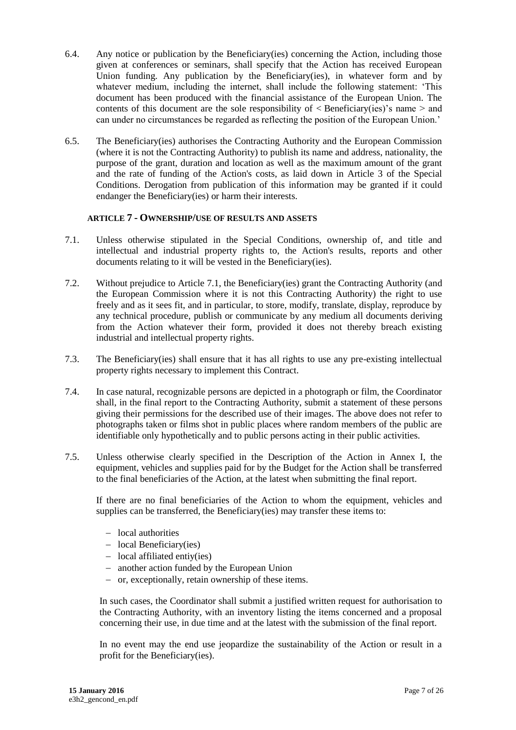- 6.4. Any notice or publication by the Beneficiary(ies) concerning the Action, including those given at conferences or seminars, shall specify that the Action has received European Union funding. Any publication by the Beneficiary(ies), in whatever form and by whatever medium, including the internet, shall include the following statement: 'This document has been produced with the financial assistance of the European Union. The contents of this document are the sole responsibility of  $\langle$  Beneficiary(ies)'s name  $>$  and can under no circumstances be regarded as reflecting the position of the European Union.'
- 6.5. The Beneficiary(ies) authorises the Contracting Authority and the European Commission (where it is not the Contracting Authority) to publish its name and address, nationality, the purpose of the grant, duration and location as well as the maximum amount of the grant and the rate of funding of the Action's costs, as laid down in Article 3 of the Special Conditions. Derogation from publication of this information may be granted if it could endanger the Beneficiary(ies) or harm their interests.

#### <span id="page-6-0"></span>**7. ARTICLE 7 - OWNERSHIP/USE OF RESULTS AND ASSETS**

- <span id="page-6-1"></span>7.1. Unless otherwise stipulated in the Special Conditions, ownership of, and title and intellectual and industrial property rights to, the Action's results, reports and other documents relating to it will be vested in the Beneficiary(ies).
- 7.2. Without prejudice to Article [7.1,](#page-6-1) the Beneficiary(ies) grant the Contracting Authority (and the European Commission where it is not this Contracting Authority) the right to use freely and as it sees fit, and in particular, to store, modify, translate, display, reproduce by any technical procedure, publish or communicate by any medium all documents deriving from the Action whatever their form, provided it does not thereby breach existing industrial and intellectual property rights.
- 7.3. The Beneficiary(ies) shall ensure that it has all rights to use any pre-existing intellectual property rights necessary to implement this Contract.
- 7.4. In case natural, recognizable persons are depicted in a photograph or film, the Coordinator shall, in the final report to the Contracting Authority, submit a statement of these persons giving their permissions for the described use of their images. The above does not refer to photographs taken or films shot in public places where random members of the public are identifiable only hypothetically and to public persons acting in their public activities.
- 7.5. Unless otherwise clearly specified in the Description of the Action in Annex I, the equipment, vehicles and supplies paid for by the Budget for the Action shall be transferred to the final beneficiaries of the Action, at the latest when submitting the final report.

If there are no final beneficiaries of the Action to whom the equipment, vehicles and supplies can be transferred, the Beneficiary(ies) may transfer these items to:

- local authorities
- $-$  local Beneficiary(ies)
- $-$  local affiliated entiy(ies)
- another action funded by the European Union
- or, exceptionally, retain ownership of these items.

In such cases, the Coordinator shall submit a justified written request for authorisation to the Contracting Authority, with an inventory listing the items concerned and a proposal concerning their use, in due time and at the latest with the submission of the final report.

In no event may the end use jeopardize the sustainability of the Action or result in a profit for the Beneficiary(ies).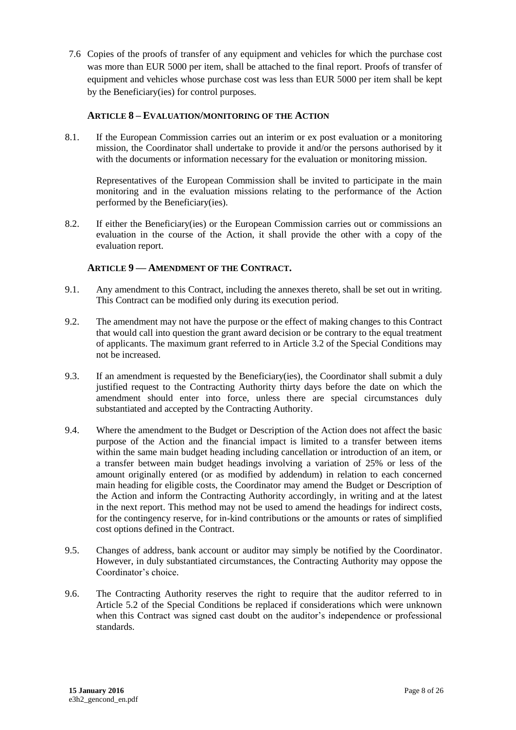7.6 Copies of the proofs of transfer of any equipment and vehicles for which the purchase cost was more than EUR 5000 per item, shall be attached to the final report. Proofs of transfer of equipment and vehicles whose purchase cost was less than EUR 5000 per item shall be kept by the Beneficiary(ies) for control purposes.

## <span id="page-7-0"></span>**8. ARTICLE 8 – EVALUATION/MONITORING OF THE ACTION**

8.1. If the European Commission carries out an interim or ex post evaluation or a monitoring mission, the Coordinator shall undertake to provide it and/or the persons authorised by it with the documents or information necessary for the evaluation or monitoring mission.

Representatives of the European Commission shall be invited to participate in the main monitoring and in the evaluation missions relating to the performance of the Action performed by the Beneficiary(ies).

8.2. If either the Beneficiary(ies) or the European Commission carries out or commissions an evaluation in the course of the Action, it shall provide the other with a copy of the evaluation report.

## <span id="page-7-1"></span>**9. ARTICLE 9 — AMENDMENT OF THE CONTRACT.**

- 9.1. Any amendment to this Contract, including the annexes thereto, shall be set out in writing. This Contract can be modified only during its execution period.
- 9.2. The amendment may not have the purpose or the effect of making changes to this Contract that would call into question the grant award decision or be contrary to the equal treatment of applicants. The maximum grant referred to in Article 3.2 of the Special Conditions may not be increased.
- 9.3. If an amendment is requested by the Beneficiary(ies), the Coordinator shall submit a duly justified request to the Contracting Authority thirty days before the date on which the amendment should enter into force, unless there are special circumstances duly substantiated and accepted by the Contracting Authority.
- 9.4. Where the amendment to the Budget or Description of the Action does not affect the basic purpose of the Action and the financial impact is limited to a transfer between items within the same main budget heading including cancellation or introduction of an item, or a transfer between main budget headings involving a variation of 25% or less of the amount originally entered (or as modified by addendum) in relation to each concerned main heading for eligible costs, the Coordinator may amend the Budget or Description of the Action and inform the Contracting Authority accordingly, in writing and at the latest in the next report. This method may not be used to amend the headings for indirect costs, for the contingency reserve, for in-kind contributions or the amounts or rates of simplified cost options defined in the Contract.
- 9.5. Changes of address, bank account or auditor may simply be notified by the Coordinator. However, in duly substantiated circumstances, the Contracting Authority may oppose the Coordinator's choice.
- 9.6. The Contracting Authority reserves the right to require that the auditor referred to in Article 5.2 of the Special Conditions be replaced if considerations which were unknown when this Contract was signed cast doubt on the auditor's independence or professional standards.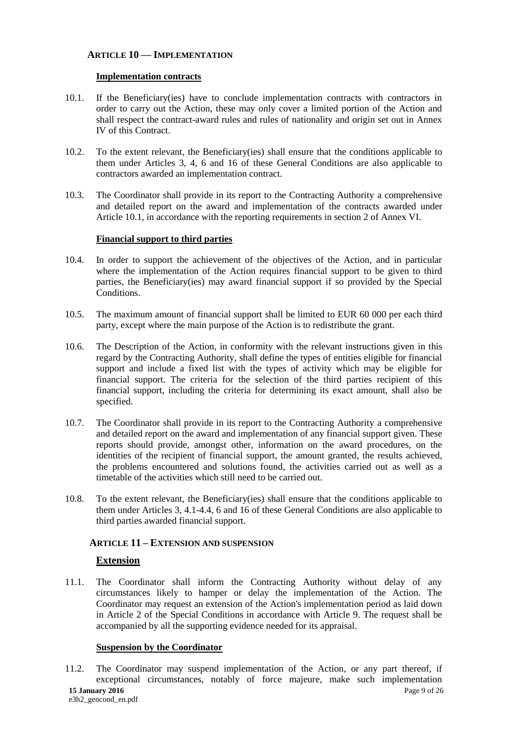## <span id="page-8-0"></span>**10. ARTICLE 10 — IMPLEMENTATION**

#### **Implementation contracts**

- 10.1. If the Beneficiary(ies) have to conclude implementation contracts with contractors in order to carry out the Action, these may only cover a limited portion of the Action and shall respect the contract-award rules and rules of nationality and origin set out in Annex IV of this Contract.
- 10.2. To the extent relevant, the Beneficiary(ies) shall ensure that the conditions applicable to them under Articles 3, 4, 6 and 16 of these General Conditions are also applicable to contractors awarded an implementation contract.
- 10.3. The Coordinator shall provide in its report to the Contracting Authority a comprehensive and detailed report on the award and implementation of the contracts awarded under Article 10.1, in accordance with the reporting requirements in section 2 of Annex VI.

#### **Financial support to third parties**

- 10.4. In order to support the achievement of the objectives of the Action, and in particular where the implementation of the Action requires financial support to be given to third parties, the Beneficiary(ies) may award financial support if so provided by the Special **Conditions**
- 10.5. The maximum amount of financial support shall be limited to EUR 60 000 per each third party, except where the main purpose of the Action is to redistribute the grant.
- 10.6. The Description of the Action, in conformity with the relevant instructions given in this regard by the Contracting Authority, shall define the types of entities eligible for financial support and include a fixed list with the types of activity which may be eligible for financial support. The criteria for the selection of the third parties recipient of this financial support, including the criteria for determining its exact amount, shall also be specified.
- 10.7. The Coordinator shall provide in its report to the Contracting Authority a comprehensive and detailed report on the award and implementation of any financial support given. These reports should provide, amongst other, information on the award procedures, on the identities of the recipient of financial support, the amount granted, the results achieved, the problems encountered and solutions found, the activities carried out as well as a timetable of the activities which still need to be carried out.
- 10.8. To the extent relevant, the Beneficiary(ies) shall ensure that the conditions applicable to them under Articles 3, 4.1-4.4, 6 and 16 of these General Conditions are also applicable to third parties awarded financial support.

#### <span id="page-8-1"></span>**11. ARTICLE 11 – EXTENSION AND SUSPENSION**

#### **Extension**

11.1. The Coordinator shall inform the Contracting Authority without delay of any circumstances likely to hamper or delay the implementation of the Action. The Coordinator may request an extension of the Action's implementation period as laid down in Article 2 of the Special Conditions in accordance with Article 9. The request shall be accompanied by all the supporting evidence needed for its appraisal.

#### **Suspension by the Coordinator**

**15 January 2016** Page 9 of 26 e3h2\_gencond\_en.pdf 11.2. The Coordinator may suspend implementation of the Action, or any part thereof, if exceptional circumstances, notably of force majeure, make such implementation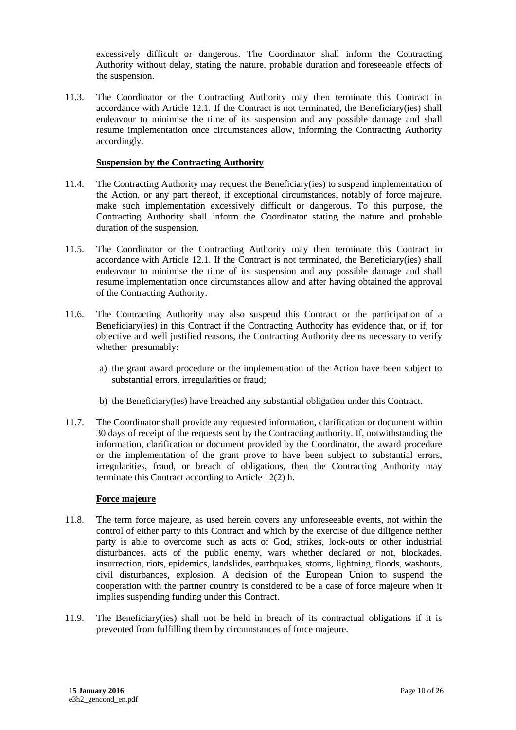excessively difficult or dangerous. The Coordinator shall inform the Contracting Authority without delay, stating the nature, probable duration and foreseeable effects of the suspension.

11.3. The Coordinator or the Contracting Authority may then terminate this Contract in accordance with Article 12.1. If the Contract is not terminated, the Beneficiary(ies) shall endeavour to minimise the time of its suspension and any possible damage and shall resume implementation once circumstances allow, informing the Contracting Authority accordingly.

#### **Suspension by the Contracting Authority**

- 11.4. The Contracting Authority may request the Beneficiary(ies) to suspend implementation of the Action, or any part thereof, if exceptional circumstances, notably of force majeure, make such implementation excessively difficult or dangerous. To this purpose, the Contracting Authority shall inform the Coordinator stating the nature and probable duration of the suspension.
- 11.5. The Coordinator or the Contracting Authority may then terminate this Contract in accordance with Article 12.1. If the Contract is not terminated, the Beneficiary(ies) shall endeavour to minimise the time of its suspension and any possible damage and shall resume implementation once circumstances allow and after having obtained the approval of the Contracting Authority.
- 11.6. The Contracting Authority may also suspend this Contract or the participation of a Beneficiary(ies) in this Contract if the Contracting Authority has evidence that, or if, for objective and well justified reasons, the Contracting Authority deems necessary to verify whether presumably:
	- a) the grant award procedure or the implementation of the Action have been subject to substantial errors, irregularities or fraud;
	- b) the Beneficiary(ies) have breached any substantial obligation under this Contract.
- 11.7. The Coordinator shall provide any requested information, clarification or document within 30 days of receipt of the requests sent by the Contracting authority. If, notwithstanding the information, clarification or document provided by the Coordinator, the award procedure or the implementation of the grant prove to have been subject to substantial errors, irregularities, fraud, or breach of obligations, then the Contracting Authority may terminate this Contract according to Article 12(2) h.

#### **Force majeure**

- 11.8. The term force majeure, as used herein covers any unforeseeable events, not within the control of either party to this Contract and which by the exercise of due diligence neither party is able to overcome such as acts of God, strikes, lock-outs or other industrial disturbances, acts of the public enemy, wars whether declared or not, blockades, insurrection, riots, epidemics, landslides, earthquakes, storms, lightning, floods, washouts, civil disturbances, explosion. A decision of the European Union to suspend the cooperation with the partner country is considered to be a case of force majeure when it implies suspending funding under this Contract.
- 11.9. The Beneficiary(ies) shall not be held in breach of its contractual obligations if it is prevented from fulfilling them by circumstances of force majeure.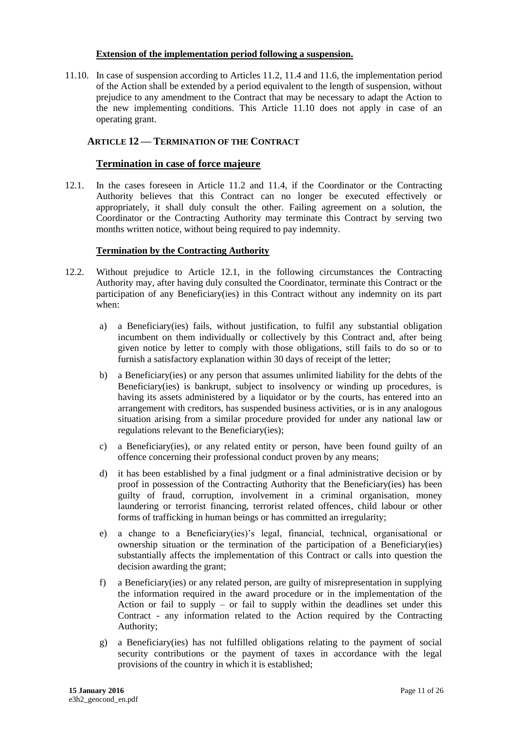#### **Extension of the implementation period following a suspension.**

11.10. In case of suspension according to Articles 11.2, 11.4 and 11.6, the implementation period of the Action shall be extended by a period equivalent to the length of suspension, without prejudice to any amendment to the Contract that may be necessary to adapt the Action to the new implementing conditions. This Article 11.10 does not apply in case of an operating grant.

## <span id="page-10-0"></span>**12. ARTICLE 12 — TERMINATION OF THE CONTRACT**

## **Termination in case of force majeure**

12.1. In the cases foreseen in Article 11.2 and 11.4, if the Coordinator or the Contracting Authority believes that this Contract can no longer be executed effectively or appropriately, it shall duly consult the other. Failing agreement on a solution, the Coordinator or the Contracting Authority may terminate this Contract by serving two months written notice, without being required to pay indemnity.

#### <span id="page-10-1"></span>**Termination by the Contracting Authority**

- 12.2. Without prejudice to Article 12.1, in the following circumstances the Contracting Authority may, after having duly consulted the Coordinator, terminate this Contract or the participation of any Beneficiary(ies) in this Contract without any indemnity on its part when:
	- a) a Beneficiary(ies) fails, without justification, to fulfil any substantial obligation incumbent on them individually or collectively by this Contract and, after being given notice by letter to comply with those obligations, still fails to do so or to furnish a satisfactory explanation within 30 days of receipt of the letter;
	- b) a Beneficiary(ies) or any person that assumes unlimited liability for the debts of the Beneficiary(ies) is bankrupt, subject to insolvency or winding up procedures, is having its assets administered by a liquidator or by the courts, has entered into an arrangement with creditors, has suspended business activities, or is in any analogous situation arising from a similar procedure provided for under any national law or regulations relevant to the Beneficiary(ies);
	- c) a Beneficiary(ies), or any related entity or person, have been found guilty of an offence concerning their professional conduct proven by any means;
	- d) it has been established by a final judgment or a final administrative decision or by proof in possession of the Contracting Authority that the Beneficiary(ies) has been guilty of fraud, corruption, involvement in a criminal organisation, money laundering or terrorist financing, terrorist related offences, child labour or other forms of trafficking in human beings or has committed an irregularity;
	- e) a change to a Beneficiary(ies)'s legal, financial, technical, organisational or ownership situation or the termination of the participation of a Beneficiary(ies) substantially affects the implementation of this Contract or calls into question the decision awarding the grant;
	- f) a Beneficiary(ies) or any related person, are guilty of misrepresentation in supplying the information required in the award procedure or in the implementation of the Action or fail to supply – or fail to supply within the deadlines set under this Contract - any information related to the Action required by the Contracting Authority;
	- g) a Beneficiary(ies) has not fulfilled obligations relating to the payment of social security contributions or the payment of taxes in accordance with the legal provisions of the country in which it is established;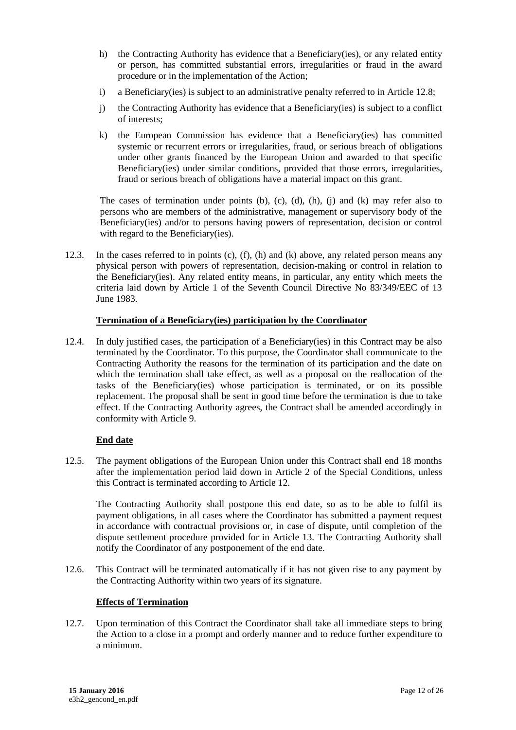- h) the Contracting Authority has evidence that a Beneficiary(ies), or any related entity or person, has committed substantial errors, irregularities or fraud in the award procedure or in the implementation of the Action;
- i) a Beneficiary(ies) is subject to an administrative penalty referred to in Article 12.8;
- j) the Contracting Authority has evidence that a Beneficiary(ies) is subject to a conflict of interests;
- k) the European Commission has evidence that a Beneficiary(ies) has committed systemic or recurrent errors or irregularities, fraud, or serious breach of obligations under other grants financed by the European Union and awarded to that specific Beneficiary(ies) under similar conditions, provided that those errors, irregularities, fraud or serious breach of obligations have a material impact on this grant.

The cases of termination under points  $(b)$ ,  $(c)$ ,  $(d)$ ,  $(h)$ ,  $(i)$  and  $(k)$  may refer also to persons who are members of the administrative, management or supervisory body of the Beneficiary(ies) and/or to persons having powers of representation, decision or control with regard to the Beneficiary(ies).

12.3. In the cases referred to in points  $(c)$ ,  $(f)$ ,  $(h)$  and  $(k)$  above, any related person means any physical person with powers of representation, decision-making or control in relation to the Beneficiary(ies). Any related entity means, in particular, any entity which meets the criteria laid down by Article 1 of the Seventh Council Directive No 83/349/EEC of 13 June 1983.

## **Termination of a Beneficiary(ies) participation by the Coordinator**

12.4. In duly justified cases, the participation of a Beneficiary(ies) in this Contract may be also terminated by the Coordinator. To this purpose, the Coordinator shall communicate to the Contracting Authority the reasons for the termination of its participation and the date on which the termination shall take effect, as well as a proposal on the reallocation of the tasks of the Beneficiary(ies) whose participation is terminated, or on its possible replacement. The proposal shall be sent in good time before the termination is due to take effect. If the Contracting Authority agrees, the Contract shall be amended accordingly in conformity with Article 9.

## **End date**

12.5. The payment obligations of the European Union under this Contract shall end 18 months after the implementation period laid down in Article 2 of the Special Conditions, unless this Contract is terminated according to Article 12.

The Contracting Authority shall postpone this end date, so as to be able to fulfil its payment obligations, in all cases where the Coordinator has submitted a payment request in accordance with contractual provisions or, in case of dispute, until completion of the dispute settlement procedure provided for in Article 13. The Contracting Authority shall notify the Coordinator of any postponement of the end date.

12.6. This Contract will be terminated automatically if it has not given rise to any payment by the Contracting Authority within two years of its signature.

#### **Effects of Termination**

12.7. Upon termination of this Contract the Coordinator shall take all immediate steps to bring the Action to a close in a prompt and orderly manner and to reduce further expenditure to a minimum.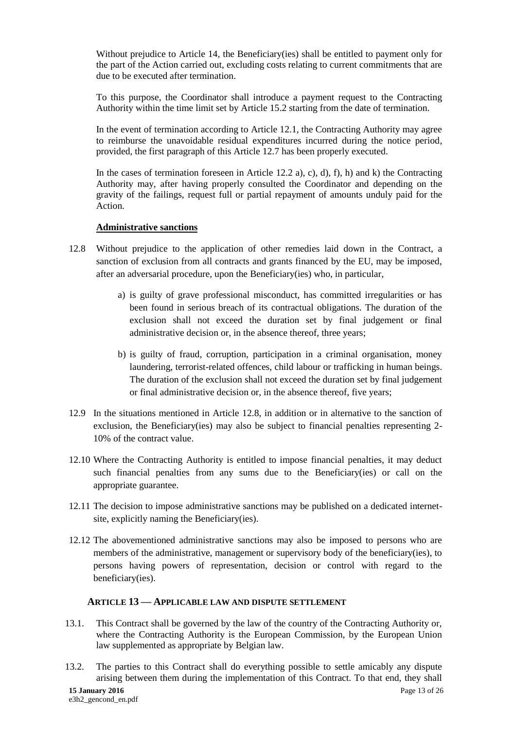Without prejudice to Article 14, the Beneficiary(ies) shall be entitled to payment only for the part of the Action carried out, excluding costs relating to current commitments that are due to be executed after termination.

To this purpose, the Coordinator shall introduce a payment request to the Contracting Authority within the time limit set by Article 15.2 starting from the date of termination.

In the event of termination according to Article 12.1, the Contracting Authority may agree to reimburse the unavoidable residual expenditures incurred during the notice period, provided, the first paragraph of this Article 12.7 has been properly executed.

In the cases of termination foreseen in Article [12.2](#page-10-1) a), c), d), f), h) and k) the Contracting Authority may, after having properly consulted the Coordinator and depending on the gravity of the failings, request full or partial repayment of amounts unduly paid for the Action.

## **Administrative sanctions**

- 12.8 Without prejudice to the application of other remedies laid down in the Contract, a sanction of exclusion from all contracts and grants financed by the EU, may be imposed, after an adversarial procedure, upon the Beneficiary(ies) who, in particular,
	- a) is guilty of grave professional misconduct, has committed irregularities or has been found in serious breach of its contractual obligations. The duration of the exclusion shall not exceed the duration set by final judgement or final administrative decision or, in the absence thereof, three years;
	- b) is guilty of fraud, corruption, participation in a criminal organisation, money laundering, terrorist-related offences, child labour or trafficking in human beings. The duration of the exclusion shall not exceed the duration set by final judgement or final administrative decision or, in the absence thereof, five years;
- 12.9 In the situations mentioned in Article 12.8, in addition or in alternative to the sanction of exclusion, the Beneficiary(ies) may also be subject to financial penalties representing 2- 10% of the contract value.
- 12.10 Where the Contracting Authority is entitled to impose financial penalties, it may deduct such financial penalties from any sums due to the Beneficiary(ies) or call on the appropriate guarantee.
- 12.11 The decision to impose administrative sanctions may be published on a dedicated internetsite, explicitly naming the Beneficiary(ies).
- 12.12 The abovementioned administrative sanctions may also be imposed to persons who are members of the administrative, management or supervisory body of the beneficiary(ies), to persons having powers of representation, decision or control with regard to the beneficiary(ies).

## <span id="page-12-0"></span>**13. ARTICLE 13 — APPLICABLE LAW AND DISPUTE SETTLEMENT**

- 13.1. This Contract shall be governed by the law of the country of the Contracting Authority or, where the Contracting Authority is the European Commission, by the European Union law supplemented as appropriate by Belgian law.
- 13.2. The parties to this Contract shall do everything possible to settle amicably any dispute arising between them during the implementation of this Contract. To that end, they shall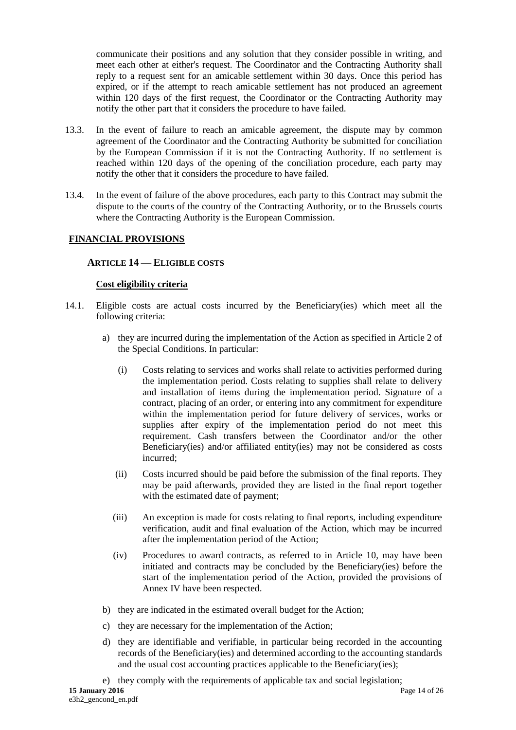communicate their positions and any solution that they consider possible in writing, and meet each other at either's request. The Coordinator and the Contracting Authority shall reply to a request sent for an amicable settlement within 30 days. Once this period has expired, or if the attempt to reach amicable settlement has not produced an agreement within 120 days of the first request, the Coordinator or the Contracting Authority may notify the other part that it considers the procedure to have failed.

- 13.3. In the event of failure to reach an amicable agreement, the dispute may by common agreement of the Coordinator and the Contracting Authority be submitted for conciliation by the European Commission if it is not the Contracting Authority. If no settlement is reached within 120 days of the opening of the conciliation procedure, each party may notify the other that it considers the procedure to have failed.
- 13.4. In the event of failure of the above procedures, each party to this Contract may submit the dispute to the courts of the country of the Contracting Authority, or to the Brussels courts where the Contracting Authority is the European Commission.

## **FINANCIAL PROVISIONS**

## <span id="page-13-0"></span>**14. ARTICLE 14 — ELIGIBLE COSTS**

#### **Cost eligibility criteria**

- 14.1. Eligible costs are actual costs incurred by the Beneficiary(ies) which meet all the following criteria:
	- a) they are incurred during the implementation of the Action as specified in Article 2 of the Special Conditions. In particular:
		- (i) Costs relating to services and works shall relate to activities performed during the implementation period. Costs relating to supplies shall relate to delivery and installation of items during the implementation period. Signature of a contract, placing of an order, or entering into any commitment for expenditure within the implementation period for future delivery of services, works or supplies after expiry of the implementation period do not meet this requirement. Cash transfers between the Coordinator and/or the other Beneficiary(ies) and/or affiliated entity(ies) may not be considered as costs incurred;
		- (ii) Costs incurred should be paid before the submission of the final reports. They may be paid afterwards, provided they are listed in the final report together with the estimated date of payment;
		- (iii) An exception is made for costs relating to final reports, including expenditure verification, audit and final evaluation of the Action, which may be incurred after the implementation period of the Action;
		- (iv) Procedures to award contracts, as referred to in Article 10, may have been initiated and contracts may be concluded by the Beneficiary(ies) before the start of the implementation period of the Action, provided the provisions of Annex IV have been respected.
	- b) they are indicated in the estimated overall budget for the Action;
	- c) they are necessary for the implementation of the Action;
	- d) they are identifiable and verifiable, in particular being recorded in the accounting records of the Beneficiary(ies) and determined according to the accounting standards and the usual cost accounting practices applicable to the Beneficiary(ies);
	- e) they comply with the requirements of applicable tax and social legislation;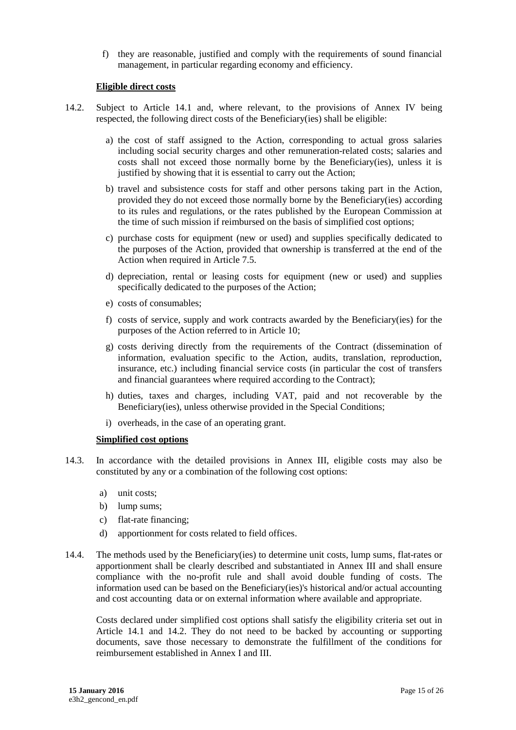f) they are reasonable, justified and comply with the requirements of sound financial management, in particular regarding economy and efficiency.

#### **Eligible direct costs**

- 14.2. Subject to Article 14.1 and, where relevant, to the provisions of Annex IV being respected, the following direct costs of the Beneficiary(ies) shall be eligible:
	- a) the cost of staff assigned to the Action, corresponding to actual gross salaries including social security charges and other remuneration-related costs; salaries and costs shall not exceed those normally borne by the Beneficiary(ies), unless it is justified by showing that it is essential to carry out the Action;
	- b) travel and subsistence costs for staff and other persons taking part in the Action, provided they do not exceed those normally borne by the Beneficiary(ies) according to its rules and regulations, or the rates published by the European Commission at the time of such mission if reimbursed on the basis of simplified cost options;
	- c) purchase costs for equipment (new or used) and supplies specifically dedicated to the purposes of the Action, provided that ownership is transferred at the end of the Action when required in Article 7.5.
	- d) depreciation, rental or leasing costs for equipment (new or used) and supplies specifically dedicated to the purposes of the Action;
	- e) costs of consumables;
	- f) costs of service, supply and work contracts awarded by the Beneficiary(ies) for the purposes of the Action referred to in Article 10;
	- g) costs deriving directly from the requirements of the Contract (dissemination of information, evaluation specific to the Action, audits, translation, reproduction, insurance, etc.) including financial service costs (in particular the cost of transfers and financial guarantees where required according to the Contract);
	- h) duties, taxes and charges, including VAT, paid and not recoverable by the Beneficiary(ies), unless otherwise provided in the Special Conditions;
	- i) overheads, in the case of an operating grant.

#### **Simplified cost options**

- 14.3. In accordance with the detailed provisions in Annex III, eligible costs may also be constituted by any or a combination of the following cost options:
	- a) unit costs;
	- b) lump sums;
	- c) flat-rate financing;
	- d) apportionment for costs related to field offices.
- 14.4. The methods used by the Beneficiary(ies) to determine unit costs, lump sums, flat-rates or apportionment shall be clearly described and substantiated in Annex III and shall ensure compliance with the no-profit rule and shall avoid double funding of costs. The information used can be based on the Beneficiary(ies)'s historical and/or actual accounting and cost accounting data or on external information where available and appropriate.

Costs declared under simplified cost options shall satisfy the eligibility criteria set out in Article 14.1 and 14.2. They do not need to be backed by accounting or supporting documents, save those necessary to demonstrate the fulfillment of the conditions for reimbursement established in Annex I and III.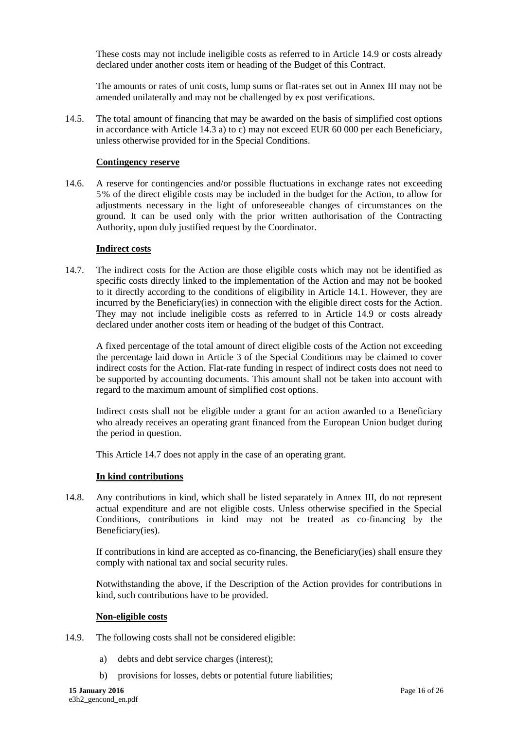These costs may not include ineligible costs as referred to in Article 14.9 or costs already declared under another costs item or heading of the Budget of this Contract.

The amounts or rates of unit costs, lump sums or flat-rates set out in Annex III may not be amended unilaterally and may not be challenged by ex post verifications.

14.5. The total amount of financing that may be awarded on the basis of simplified cost options in accordance with Article 14.3 a) to c) may not exceed EUR 60 000 per each Beneficiary, unless otherwise provided for in the Special Conditions.

#### **Contingency reserve**

14.6. A reserve for contingencies and/or possible fluctuations in exchange rates not exceeding 5% of the direct eligible costs may be included in the budget for the Action, to allow for adjustments necessary in the light of unforeseeable changes of circumstances on the ground. It can be used only with the prior written authorisation of the Contracting Authority, upon duly justified request by the Coordinator.

#### **Indirect costs**

14.7. The indirect costs for the Action are those eligible costs which may not be identified as specific costs directly linked to the implementation of the Action and may not be booked to it directly according to the conditions of eligibility in Article 14.1. However, they are incurred by the Beneficiary(ies) in connection with the eligible direct costs for the Action. They may not include ineligible costs as referred to in Article 14.9 or costs already declared under another costs item or heading of the budget of this Contract.

A fixed percentage of the total amount of direct eligible costs of the Action not exceeding the percentage laid down in Article 3 of the Special Conditions may be claimed to cover indirect costs for the Action. Flat-rate funding in respect of indirect costs does not need to be supported by accounting documents. This amount shall not be taken into account with regard to the maximum amount of simplified cost options.

Indirect costs shall not be eligible under a grant for an action awarded to a Beneficiary who already receives an operating grant financed from the European Union budget during the period in question.

This Article 14.7 does not apply in the case of an operating grant.

#### **In kind contributions**

14.8. Any contributions in kind, which shall be listed separately in Annex III, do not represent actual expenditure and are not eligible costs. Unless otherwise specified in the Special Conditions, contributions in kind may not be treated as co-financing by the Beneficiary(ies).

If contributions in kind are accepted as co-financing, the Beneficiary(ies) shall ensure they comply with national tax and social security rules.

Notwithstanding the above, if the Description of the Action provides for contributions in kind, such contributions have to be provided.

#### **Non-eligible costs**

- 14.9. The following costs shall not be considered eligible:
	- a) debts and debt service charges (interest);
	- b) provisions for losses, debts or potential future liabilities;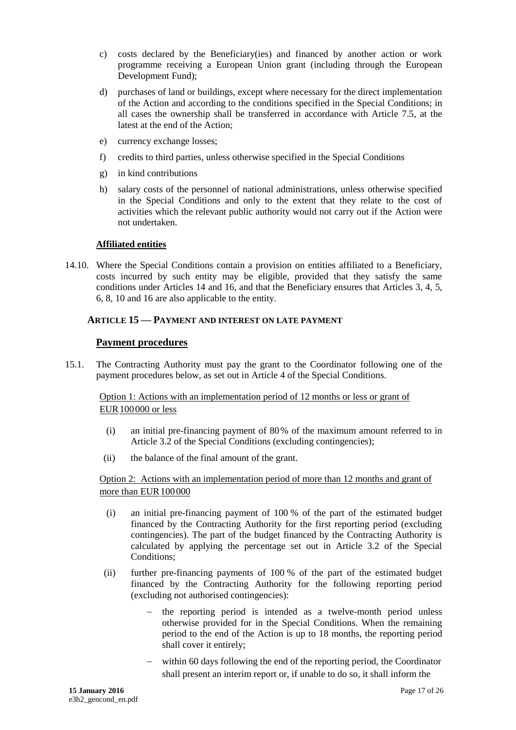- c) costs declared by the Beneficiary(ies) and financed by another action or work programme receiving a European Union grant (including through the European Development Fund);
- d) purchases of land or buildings, except where necessary for the direct implementation of the Action and according to the conditions specified in the Special Conditions; in all cases the ownership shall be transferred in accordance with Article 7.5, at the latest at the end of the Action;
- e) currency exchange losses;
- f) credits to third parties, unless otherwise specified in the Special Conditions
- g) in kind contributions
- h) salary costs of the personnel of national administrations, unless otherwise specified in the Special Conditions and only to the extent that they relate to the cost of activities which the relevant public authority would not carry out if the Action were not undertaken.

#### **Affiliated entities**

14.10. Where the Special Conditions contain a provision on entities affiliated to a Beneficiary, costs incurred by such entity may be eligible, provided that they satisfy the same conditions under Articles 14 and 16, and that the Beneficiary ensures that Articles 3, 4, 5, 6, 8, 10 and 16 are also applicable to the entity.

## <span id="page-16-0"></span>**15. ARTICLE 15 — PAYMENT AND INTEREST ON LATE PAYMENT**

## **Payment procedures**

15.1. The Contracting Authority must pay the grant to the Coordinator following one of the payment procedures below, as set out in Article 4 of the Special Conditions.

## Option 1: Actions with an implementation period of 12 months or less or grant of EUR100000 or less

- (i) an initial pre-financing payment of 80% of the maximum amount referred to in Article 3.2 of the Special Conditions (excluding contingencies);
- (ii) the balance of the final amount of the grant.

## Option 2: Actions with an implementation period of more than 12 months and grant of more than EUR 100000

- (i) an initial pre-financing payment of 100 % of the part of the estimated budget financed by the Contracting Authority for the first reporting period (excluding contingencies). The part of the budget financed by the Contracting Authority is calculated by applying the percentage set out in Article 3.2 of the Special Conditions;
- (ii) further pre-financing payments of 100 % of the part of the estimated budget financed by the Contracting Authority for the following reporting period (excluding not authorised contingencies):
	- the reporting period is intended as a twelve-month period unless otherwise provided for in the Special Conditions. When the remaining period to the end of the Action is up to 18 months, the reporting period shall cover it entirely;
	- within 60 days following the end of the reporting period, the Coordinator shall present an interim report or, if unable to do so, it shall inform the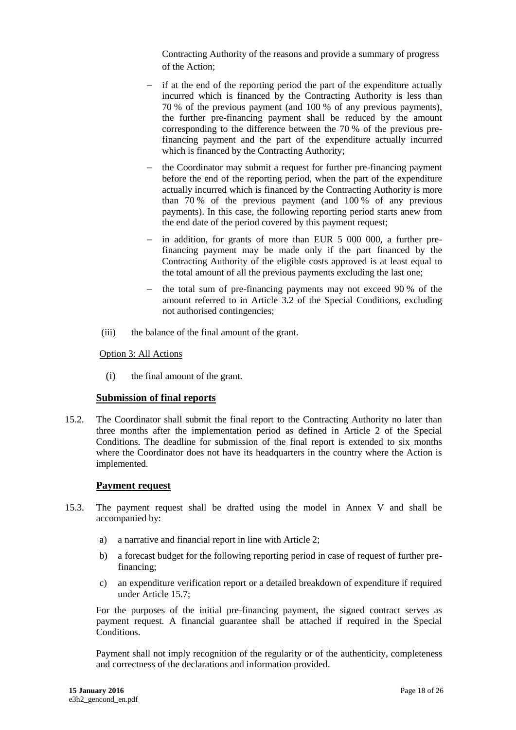Contracting Authority of the reasons and provide a summary of progress of the Action;

- $\overline{\phantom{a}}$  if at the end of the reporting period the part of the expenditure actually incurred which is financed by the Contracting Authority is less than 70 % of the previous payment (and 100 % of any previous payments), the further pre-financing payment shall be reduced by the amount corresponding to the difference between the 70 % of the previous prefinancing payment and the part of the expenditure actually incurred which is financed by the Contracting Authority;
- the Coordinator may submit a request for further pre-financing payment before the end of the reporting period, when the part of the expenditure actually incurred which is financed by the Contracting Authority is more than 70 % of the previous payment (and 100 % of any previous payments). In this case, the following reporting period starts anew from the end date of the period covered by this payment request;
- in addition, for grants of more than EUR 5 000 000, a further prefinancing payment may be made only if the part financed by the Contracting Authority of the eligible costs approved is at least equal to the total amount of all the previous payments excluding the last one;
- the total sum of pre-financing payments may not exceed 90 % of the amount referred to in Article 3.2 of the Special Conditions, excluding not authorised contingencies;
- (iii) the balance of the final amount of the grant.

#### Option 3: All Actions

(i) the final amount of the grant.

## **Submission of final reports**

15.2. The Coordinator shall submit the final report to the Contracting Authority no later than three months after the implementation period as defined in Article 2 of the Special Conditions. The deadline for submission of the final report is extended to six months where the Coordinator does not have its headquarters in the country where the Action is implemented.

#### **Payment request**

- 15.3. The payment request shall be drafted using the model in Annex V and shall be accompanied by:
	- a) a narrative and financial report in line with Article 2;
	- b) a forecast budget for the following reporting period in case of request of further prefinancing;
	- c) an expenditure verification report or a detailed breakdown of expenditure if required under Article 15.7;

For the purposes of the initial pre-financing payment, the signed contract serves as payment request. A financial guarantee shall be attached if required in the Special Conditions.

Payment shall not imply recognition of the regularity or of the authenticity, completeness and correctness of the declarations and information provided.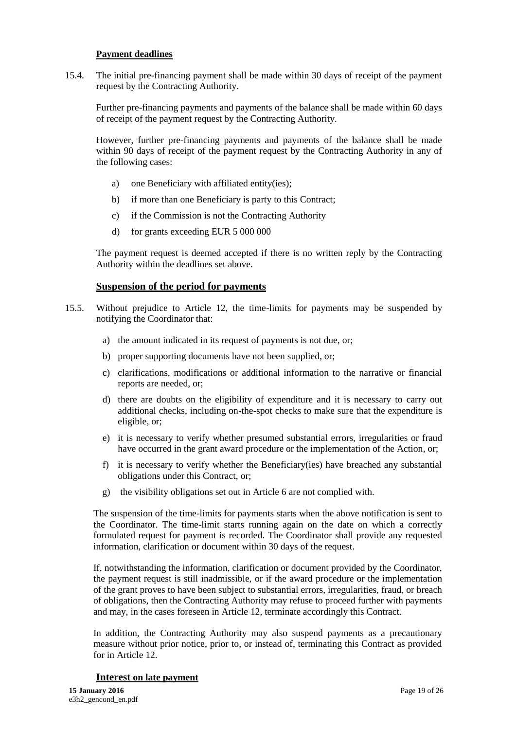#### **Payment deadlines**

15.4. The initial pre-financing payment shall be made within 30 days of receipt of the payment request by the Contracting Authority.

Further pre-financing payments and payments of the balance shall be made within 60 days of receipt of the payment request by the Contracting Authority.

However, further pre-financing payments and payments of the balance shall be made within 90 days of receipt of the payment request by the Contracting Authority in any of the following cases:

- a) one Beneficiary with affiliated entity(ies);
- b) if more than one Beneficiary is party to this Contract;
- c) if the Commission is not the Contracting Authority
- d) for grants exceeding EUR 5 000 000

The payment request is deemed accepted if there is no written reply by the Contracting Authority within the deadlines set above.

#### **Suspension of the period for payments**

- 15.5. Without prejudice to Article 12, the time-limits for payments may be suspended by notifying the Coordinator that:
	- a) the amount indicated in its request of payments is not due, or;
	- b) proper supporting documents have not been supplied, or;
	- c) clarifications, modifications or additional information to the narrative or financial reports are needed, or;
	- d) there are doubts on the eligibility of expenditure and it is necessary to carry out additional checks, including on-the-spot checks to make sure that the expenditure is eligible, or;
	- e) it is necessary to verify whether presumed substantial errors, irregularities or fraud have occurred in the grant award procedure or the implementation of the Action, or;
	- f) it is necessary to verify whether the Beneficiary(ies) have breached any substantial obligations under this Contract, or;
	- g) the visibility obligations set out in Article 6 are not complied with.

The suspension of the time-limits for payments starts when the above notification is sent to the Coordinator. The time-limit starts running again on the date on which a correctly formulated request for payment is recorded. The Coordinator shall provide any requested information, clarification or document within 30 days of the request.

If, notwithstanding the information, clarification or document provided by the Coordinator, the payment request is still inadmissible, or if the award procedure or the implementation of the grant proves to have been subject to substantial errors, irregularities, fraud, or breach of obligations, then the Contracting Authority may refuse to proceed further with payments and may, in the cases foreseen in Article 12, terminate accordingly this Contract.

In addition, the Contracting Authority may also suspend payments as a precautionary measure without prior notice, prior to, or instead of, terminating this Contract as provided for in Article 12.

#### **Interest on late payment**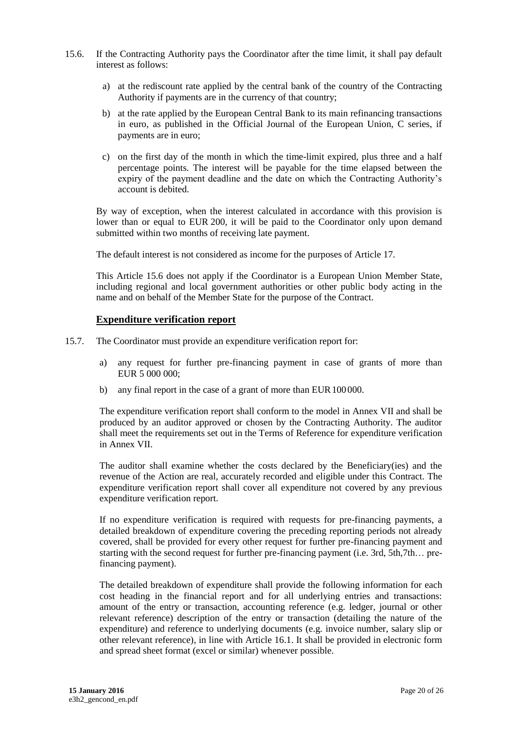- 15.6. If the Contracting Authority pays the Coordinator after the time limit, it shall pay default interest as follows:
	- a) at the rediscount rate applied by the central bank of the country of the Contracting Authority if payments are in the currency of that country;
	- b) at the rate applied by the European Central Bank to its main refinancing transactions in euro, as published in the Official Journal of the European Union, C series, if payments are in euro;
	- c) on the first day of the month in which the time-limit expired, plus three and a half percentage points. The interest will be payable for the time elapsed between the expiry of the payment deadline and the date on which the Contracting Authority's account is debited.

By way of exception, when the interest calculated in accordance with this provision is lower than or equal to EUR 200, it will be paid to the Coordinator only upon demand submitted within two months of receiving late payment.

The default interest is not considered as income for the purposes of Article 17.

This Article 15.6 does not apply if the Coordinator is a European Union Member State, including regional and local government authorities or other public body acting in the name and on behalf of the Member State for the purpose of the Contract.

#### **Expenditure verification report**

- 15.7. The Coordinator must provide an expenditure verification report for:
	- a) any request for further pre-financing payment in case of grants of more than EUR 5 000 000;
	- b) any final report in the case of a grant of more than EUR 100000.

The expenditure verification report shall conform to the model in Annex VII and shall be produced by an auditor approved or chosen by the Contracting Authority. The auditor shall meet the requirements set out in the Terms of Reference for expenditure verification in Annex VII.

The auditor shall examine whether the costs declared by the Beneficiary(ies) and the revenue of the Action are real, accurately recorded and eligible under this Contract. The expenditure verification report shall cover all expenditure not covered by any previous expenditure verification report.

If no expenditure verification is required with requests for pre-financing payments, a detailed breakdown of expenditure covering the preceding reporting periods not already covered, shall be provided for every other request for further pre-financing payment and starting with the second request for further pre-financing payment (i.e. 3rd, 5th,7th… prefinancing payment).

The detailed breakdown of expenditure shall provide the following information for each cost heading in the financial report and for all underlying entries and transactions: amount of the entry or transaction, accounting reference (e.g. ledger, journal or other relevant reference) description of the entry or transaction (detailing the nature of the expenditure) and reference to underlying documents (e.g. invoice number, salary slip or other relevant reference), in line with Article 16.1. It shall be provided in electronic form and spread sheet format (excel or similar) whenever possible.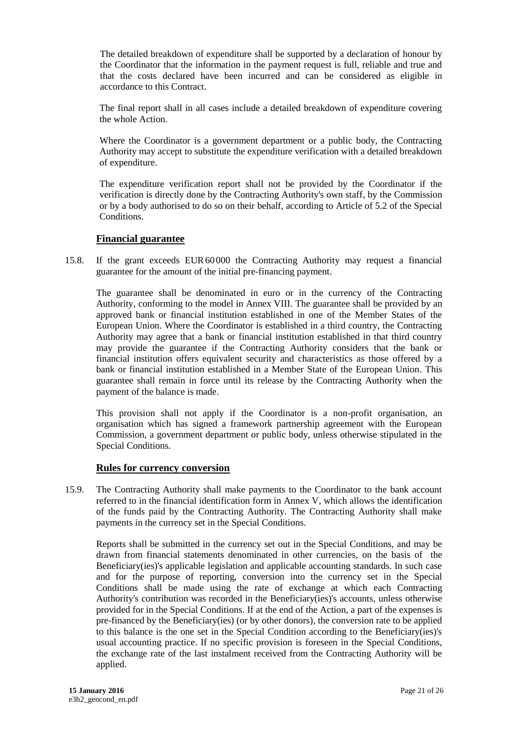The detailed breakdown of expenditure shall be supported by a declaration of honour by the Coordinator that the information in the payment request is full, reliable and true and that the costs declared have been incurred and can be considered as eligible in accordance to this Contract.

The final report shall in all cases include a detailed breakdown of expenditure covering the whole Action.

Where the Coordinator is a government department or a public body, the Contracting Authority may accept to substitute the expenditure verification with a detailed breakdown of expenditure.

The expenditure verification report shall not be provided by the Coordinator if the verification is directly done by the Contracting Authority's own staff, by the Commission or by a body authorised to do so on their behalf, according to Article of 5.2 of the Special Conditions.

## **Financial guarantee**

15.8. If the grant exceeds EUR60000 the Contracting Authority may request a financial guarantee for the amount of the initial pre-financing payment.

The guarantee shall be denominated in euro or in the currency of the Contracting Authority, conforming to the model in Annex VIII. The guarantee shall be provided by an approved bank or financial institution established in one of the Member States of the European Union. Where the Coordinator is established in a third country, the Contracting Authority may agree that a bank or financial institution established in that third country may provide the guarantee if the Contracting Authority considers that the bank or financial institution offers equivalent security and characteristics as those offered by a bank or financial institution established in a Member State of the European Union. This guarantee shall remain in force until its release by the Contracting Authority when the payment of the balance is made.

This provision shall not apply if the Coordinator is a non-profit organisation, an organisation which has signed a framework partnership agreement with the European Commission, a government department or public body, unless otherwise stipulated in the Special Conditions.

## **Rules for currency conversion**

15.9. The Contracting Authority shall make payments to the Coordinator to the bank account referred to in the financial identification form in Annex V, which allows the identification of the funds paid by the Contracting Authority. The Contracting Authority shall make payments in the currency set in the Special Conditions.

Reports shall be submitted in the currency set out in the Special Conditions, and may be drawn from financial statements denominated in other currencies, on the basis of the Beneficiary(ies)'s applicable legislation and applicable accounting standards. In such case and for the purpose of reporting, conversion into the currency set in the Special Conditions shall be made using the rate of exchange at which each Contracting Authority's contribution was recorded in the Beneficiary(ies)'s accounts, unless otherwise provided for in the Special Conditions. If at the end of the Action, a part of the expenses is pre-financed by the Beneficiary(ies) (or by other donors), the conversion rate to be applied to this balance is the one set in the Special Condition according to the Beneficiary(ies)'s usual accounting practice. If no specific provision is foreseen in the Special Conditions, the exchange rate of the last instalment received from the Contracting Authority will be applied.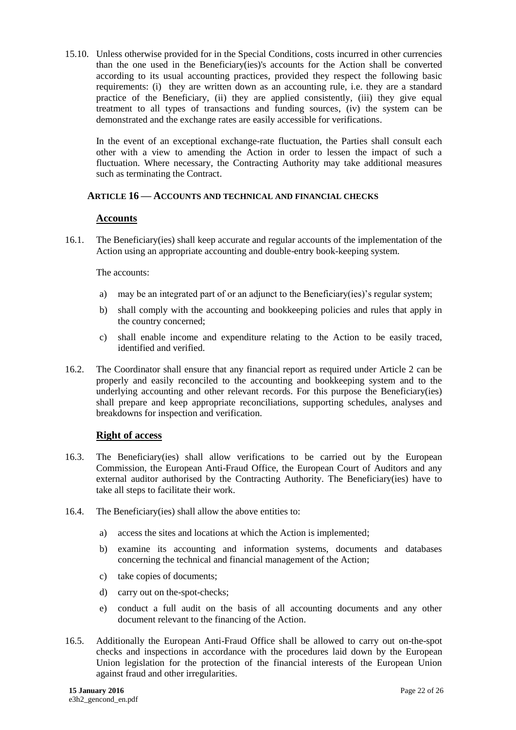15.10. Unless otherwise provided for in the Special Conditions, costs incurred in other currencies than the one used in the Beneficiary(ies)'s accounts for the Action shall be converted according to its usual accounting practices, provided they respect the following basic requirements: (i) they are written down as an accounting rule, i.e. they are a standard practice of the Beneficiary, (ii) they are applied consistently, (iii) they give equal treatment to all types of transactions and funding sources, (iv) the system can be demonstrated and the exchange rates are easily accessible for verifications.

In the event of an exceptional exchange-rate fluctuation, the Parties shall consult each other with a view to amending the Action in order to lessen the impact of such a fluctuation. Where necessary, the Contracting Authority may take additional measures such as terminating the Contract.

## <span id="page-21-0"></span>**16. ARTICLE 16 — ACCOUNTS AND TECHNICAL AND FINANCIAL CHECKS**

## **Accounts**

16.1. The Beneficiary(ies) shall keep accurate and regular accounts of the implementation of the Action using an appropriate accounting and double-entry book-keeping system.

#### The accounts:

- a) may be an integrated part of or an adjunct to the Beneficiary(ies)'s regular system;
- b) shall comply with the accounting and bookkeeping policies and rules that apply in the country concerned;
- c) shall enable income and expenditure relating to the Action to be easily traced, identified and verified.
- 16.2. The Coordinator shall ensure that any financial report as required under Article 2 can be properly and easily reconciled to the accounting and bookkeeping system and to the underlying accounting and other relevant records. For this purpose the Beneficiary(ies) shall prepare and keep appropriate reconciliations, supporting schedules, analyses and breakdowns for inspection and verification.

#### **Right of access**

- 16.3. The Beneficiary(ies) shall allow verifications to be carried out by the European Commission, the European Anti-Fraud Office, the European Court of Auditors and any external auditor authorised by the Contracting Authority. The Beneficiary(ies) have to take all steps to facilitate their work.
- 16.4. The Beneficiary(ies) shall allow the above entities to:
	- a) access the sites and locations at which the Action is implemented;
	- b) examine its accounting and information systems, documents and databases concerning the technical and financial management of the Action;
	- c) take copies of documents;
	- d) carry out on the-spot-checks;
	- e) conduct a full audit on the basis of all accounting documents and any other document relevant to the financing of the Action.
- 16.5. Additionally the European Anti-Fraud Office shall be allowed to carry out on-the-spot checks and inspections in accordance with the procedures laid down by the European Union legislation for the protection of the financial interests of the European Union against fraud and other irregularities.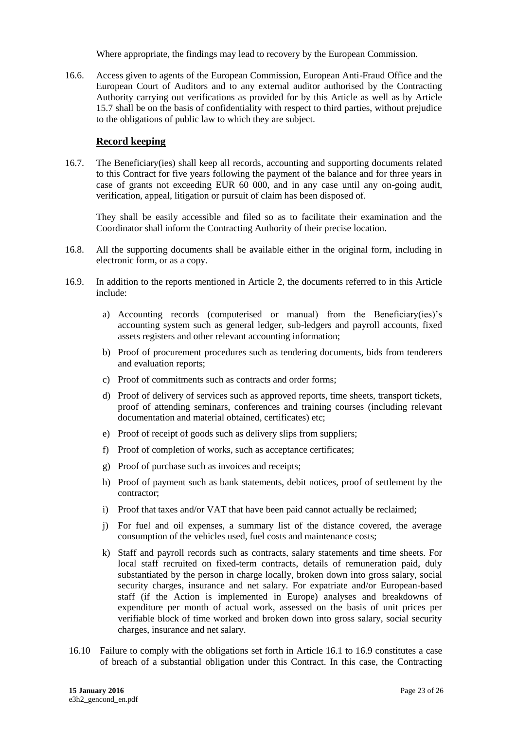Where appropriate, the findings may lead to recovery by the European Commission.

16.6. Access given to agents of the European Commission, European Anti-Fraud Office and the European Court of Auditors and to any external auditor authorised by the Contracting Authority carrying out verifications as provided for by this Article as well as by Article 15.7 shall be on the basis of confidentiality with respect to third parties, without prejudice to the obligations of public law to which they are subject.

## **Record keeping**

16.7. The Beneficiary(ies) shall keep all records, accounting and supporting documents related to this Contract for five years following the payment of the balance and for three years in case of grants not exceeding EUR 60 000, and in any case until any on-going audit, verification, appeal, litigation or pursuit of claim has been disposed of.

They shall be easily accessible and filed so as to facilitate their examination and the Coordinator shall inform the Contracting Authority of their precise location.

- 16.8. All the supporting documents shall be available either in the original form, including in electronic form, or as a copy.
- 16.9. In addition to the reports mentioned in Article [2,](#page-3-1) the documents referred to in this Article include:
	- a) Accounting records (computerised or manual) from the Beneficiary(ies)'s accounting system such as general ledger, sub-ledgers and payroll accounts, fixed assets registers and other relevant accounting information;
	- b) Proof of procurement procedures such as tendering documents, bids from tenderers and evaluation reports;
	- c) Proof of commitments such as contracts and order forms;
	- d) Proof of delivery of services such as approved reports, time sheets, transport tickets, proof of attending seminars, conferences and training courses (including relevant documentation and material obtained, certificates) etc;
	- e) Proof of receipt of goods such as delivery slips from suppliers;
	- f) Proof of completion of works, such as acceptance certificates;
	- g) Proof of purchase such as invoices and receipts;
	- h) Proof of payment such as bank statements, debit notices, proof of settlement by the contractor;
	- i) Proof that taxes and/or VAT that have been paid cannot actually be reclaimed;
	- j) For fuel and oil expenses, a summary list of the distance covered, the average consumption of the vehicles used, fuel costs and maintenance costs;
	- k) Staff and payroll records such as contracts, salary statements and time sheets. For local staff recruited on fixed-term contracts, details of remuneration paid, duly substantiated by the person in charge locally, broken down into gross salary, social security charges, insurance and net salary. For expatriate and/or European-based staff (if the Action is implemented in Europe) analyses and breakdowns of expenditure per month of actual work, assessed on the basis of unit prices per verifiable block of time worked and broken down into gross salary, social security charges, insurance and net salary.
- 16.10 Failure to comply with the obligations set forth in Article 16.1 to 16.9 constitutes a case of breach of a substantial obligation under this Contract. In this case, the Contracting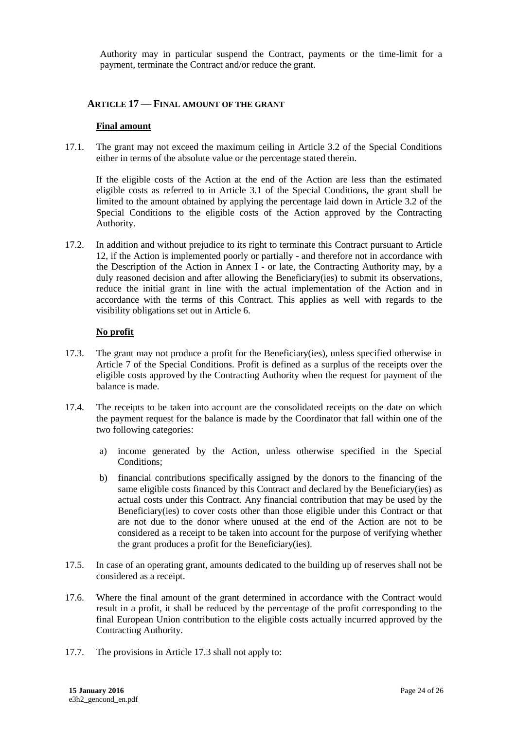Authority may in particular suspend the Contract, payments or the time-limit for a payment, terminate the Contract and/or reduce the grant.

## <span id="page-23-0"></span>**17. ARTICLE 17 — FINAL AMOUNT OF THE GRANT**

#### **Final amount**

17.1. The grant may not exceed the maximum ceiling in Article 3.2 of the Special Conditions either in terms of the absolute value or the percentage stated therein.

If the eligible costs of the Action at the end of the Action are less than the estimated eligible costs as referred to in Article 3.1 of the Special Conditions, the grant shall be limited to the amount obtained by applying the percentage laid down in Article 3.2 of the Special Conditions to the eligible costs of the Action approved by the Contracting Authority.

17.2. In addition and without prejudice to its right to terminate this Contract pursuant to Article 12, if the Action is implemented poorly or partially - and therefore not in accordance with the Description of the Action in Annex I - or late, the Contracting Authority may, by a duly reasoned decision and after allowing the Beneficiary(ies) to submit its observations, reduce the initial grant in line with the actual implementation of the Action and in accordance with the terms of this Contract. This applies as well with regards to the visibility obligations set out in Article 6.

#### **No profit**

- 17.3. The grant may not produce a profit for the Beneficiary(ies), unless specified otherwise in Article 7 of the Special Conditions. Profit is defined as a surplus of the receipts over the eligible costs approved by the Contracting Authority when the request for payment of the balance is made.
- 17.4. The receipts to be taken into account are the consolidated receipts on the date on which the payment request for the balance is made by the Coordinator that fall within one of the two following categories:
	- a) income generated by the Action, unless otherwise specified in the Special Conditions:
	- b) financial contributions specifically assigned by the donors to the financing of the same eligible costs financed by this Contract and declared by the Beneficiary(ies) as actual costs under this Contract. Any financial contribution that may be used by the Beneficiary(ies) to cover costs other than those eligible under this Contract or that are not due to the donor where unused at the end of the Action are not to be considered as a receipt to be taken into account for the purpose of verifying whether the grant produces a profit for the Beneficiary(ies).
- 17.5. In case of an operating grant, amounts dedicated to the building up of reserves shall not be considered as a receipt.
- 17.6. Where the final amount of the grant determined in accordance with the Contract would result in a profit, it shall be reduced by the percentage of the profit corresponding to the final European Union contribution to the eligible costs actually incurred approved by the Contracting Authority.
- 17.7. The provisions in Article 17.3 shall not apply to: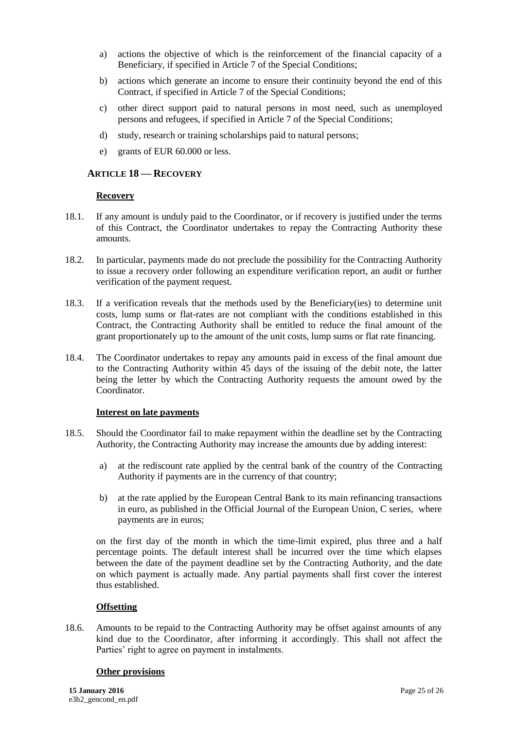- a) actions the objective of which is the reinforcement of the financial capacity of a Beneficiary, if specified in Article 7 of the Special Conditions;
- b) actions which generate an income to ensure their continuity beyond the end of this Contract, if specified in Article 7 of the Special Conditions;
- c) other direct support paid to natural persons in most need, such as unemployed persons and refugees, if specified in Article 7 of the Special Conditions;
- d) study, research or training scholarships paid to natural persons;
- e) grants of EUR 60.000 or less.

## <span id="page-24-0"></span>**18. ARTICLE 18 — RECOVERY**

#### **Recovery**

- 18.1. If any amount is unduly paid to the Coordinator, or if recovery is justified under the terms of this Contract, the Coordinator undertakes to repay the Contracting Authority these amounts.
- 18.2. In particular, payments made do not preclude the possibility for the Contracting Authority to issue a recovery order following an expenditure verification report, an audit or further verification of the payment request.
- 18.3. If a verification reveals that the methods used by the Beneficiary(ies) to determine unit costs, lump sums or flat-rates are not compliant with the conditions established in this Contract, the Contracting Authority shall be entitled to reduce the final amount of the grant proportionately up to the amount of the unit costs, lump sums or flat rate financing.
- 18.4. The Coordinator undertakes to repay any amounts paid in excess of the final amount due to the Contracting Authority within 45 days of the issuing of the debit note, the latter being the letter by which the Contracting Authority requests the amount owed by the Coordinator.

#### **Interest on late payments**

- 18.5. Should the Coordinator fail to make repayment within the deadline set by the Contracting Authority, the Contracting Authority may increase the amounts due by adding interest:
	- a) at the rediscount rate applied by the central bank of the country of the Contracting Authority if payments are in the currency of that country;
	- b) at the rate applied by the European Central Bank to its main refinancing transactions in euro, as published in the Official Journal of the European Union, C series, where payments are in euros;

on the first day of the month in which the time-limit expired, plus three and a half percentage points. The default interest shall be incurred over the time which elapses between the date of the payment deadline set by the Contracting Authority, and the date on which payment is actually made. Any partial payments shall first cover the interest thus established.

#### **Offsetting**

18.6. Amounts to be repaid to the Contracting Authority may be offset against amounts of any kind due to the Coordinator, after informing it accordingly. This shall not affect the Parties' right to agree on payment in instalments.

#### **Other provisions**